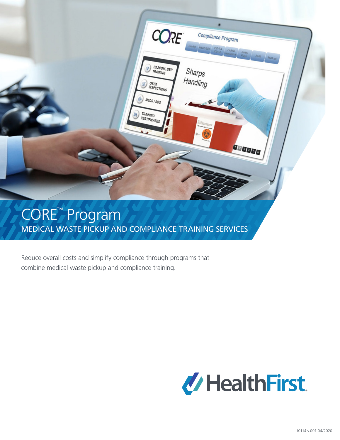

# MEDICAL WASTE PICKUP AND COMPLIANCE TRAINING SERVICES

Reduce overall costs and simplify compliance through programs that combine medical waste pickup and compliance training.

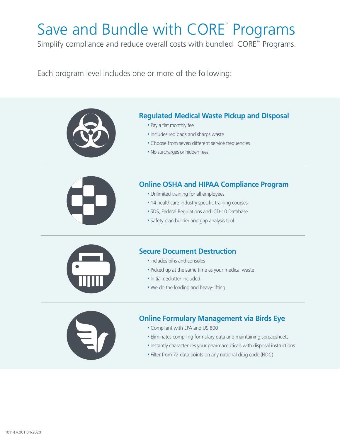# Save and Bundle with CORE™ Programs

Simplify compliance and reduce overall costs with bundled CORE*™* Programs.

Each program level includes one or more of the following:



## **Regulated Medical Waste Pickup and Disposal**

- Pay a flat monthly fee
- Includes red bags and sharps waste
- Choose from seven different service frequencies
- No surcharges or hidden fees



## **Online OSHA and HIPAA Compliance Program**

- Unlimited training for all employees
- 14 healthcare-industry specific training courses
- SDS, Federal Regulations and ICD-10 Database
- Safety plan builder and gap analysis tool



## **Secure Document Destruction**

- Includes bins and consoles
- Picked up at the same time as your medical waste
- Initial declutter included
- We do the loading and heavy-lifting



## **Online Formulary Management via Birds Eye**

- Compliant with EPA and US 800
- Eliminates compiling formulary data and maintaining spreadsheets
- Instantly characterizes your pharmaceuticals with disposal instructions
- Filter from 72 data points on any national drug code (NDC)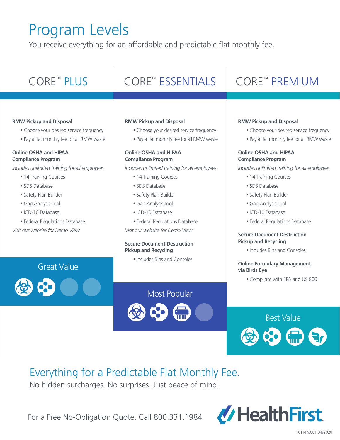# Program Levels

You receive everything for an affordable and predictable flat monthly fee.

## CORE<sup>™</sup> PLUS

## PLUS | CORE™ ESSENTIALS | CORE™

#### **RMW Pickup and Disposal**

- Choose your desired service frequency
- Pay a flat monthly fee for all RMW waste

#### **Online OSHA and HIPAA Compliance Program**

*Includes unlimited training for all employees*

- 14 Training Courses
- SDS Database
- Safety Plan Builder
- Gap Analysis Tool
- ICD-10 Database
- Federal Regulations Database

*Visit our website for Demo View* 

#### **RMW Pickup and Disposal**

- Choose your desired service frequency
- Pay a flat monthly fee for all RMW waste

#### **Online OSHA and HIPAA Compliance Program**

*Includes unlimited training for all employees*

- 14 Training Courses
- SDS Database
- Safety Plan Builder
- Gap Analysis Tool
- ICD-10 Database
- Federal Regulations Database
- *Visit our website for Demo View*

#### **Secure Document Destruction Pickup and Recycling**

• Includes Bins and Consoles

# CORE™ PREMIUM

#### **RMW Pickup and Disposal**

- Choose your desired service frequency
- Pay a flat monthly fee for all RMW waste

#### **Online OSHA and HIPAA Compliance Program**

*Includes unlimited training for all employees*

- 14 Training Courses
- SDS Database
- Safety Plan Builder
- Gap Analysis Tool
- ICD-10 Database
- Federal Regulations Database

#### **Secure Document Destruction Pickup and Recycling**

• Includes Bins and Consoles

#### **Online Formulary Management via Birds Eye**

• Compliant with EPA and US 800

# Best Value

## Everything for a Predictable Flat Monthly Fee.

No hidden surcharges. No surprises. Just peace of mind.

For a Free No-Obligation Quote. Call 800.331.1984



## Most Popular





Great Value